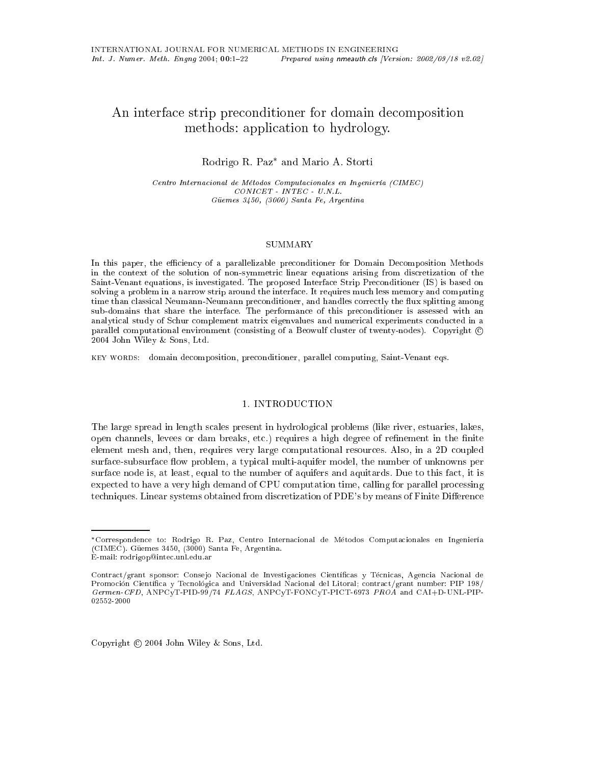# An interface strip preconditioner for domain decomposition methods: application to hydrology.

Rodrigo R. Paz and Mario A. Storti

Centro Internacional de Métodos Computacionales en Ingeniería (CIMEC)  $CONICET$  -  $INTE\,C$  -  $\ U.N.L.$ Guemes 3450, (3000) Santa Fe, Argentina

## SUMMARY

In this paper, the efficiency of a parallelizable preconditioner for Domain Decomposition Methods in the context of the solution of non-symmetric linear equations arising from discretization of the Saint-Venant equations, is investigated. The proposed Interfa
e Strip Pre
onditioner (IS) is based on solving a problem in a narrow strip around the interface. It requires much less memory and computing time than classical Neumann-Neumann preconditioner, and handles correctly the flux splitting among sub-domains that share the interfa
e. The performan
e of this pre
onditioner is assessed with an analytical study of Schur complement matrix eigenvalues and numerical experiments conducted in a parallel computational environment (consisting of a Beowulf cluster of twenty-nodes). Copyright  $\odot$ 2004 John Wiley & Sons, Ltd.

key words: domain de
omposition, pre
onditioner, parallel omputing, Saint-Venant eqs.

## 1. INTRODUCTION

The large spread in length s
ales present in hydrologi
al problems (like river, estuaries, lakes, open channels, levees or dam breaks, etc.) requires a high degree of refinement in the finite element mesh and, then, requires very large omputational resour
es. Also, in a 2D oupled surface-subsurface flow problem, a typical multi-aquifer model, the number of unknowns per surface node is, at least, equal to the number of aquifers and aquitards. Due to this fact, it is expected to have a very high demand of CPU computation time, calling for parallel processing techniques. Linear systems obtained from discretization of PDE's by means of Finite Difference

Copyright 2004 John Wiley & Sons, Ltd.

Corresponden
e to: Rodrigo R. Paz, Centro Interna
ional de Metodos Computa
ionales en Ingeniera (CIMEC). Guemes 3450, (3000) Santa Fe, Argentina.

E-mail: rodrigop@intec.unl.edu.ar

Contract/grant sponsor: Consejo Nacional de Investigaciones Científicas y Técnicas, Agencia Nacional de Promoción Científica y Tecnológica and Universidad Nacional del Litoral; contract/grant number: PIP 198/ Germen-CFD, ANPCyT-PID-99/74 FLAGS, ANPCyT-FONCyT-PICT-6973 PROA and CAI+D-UNL-PIP-02552-2000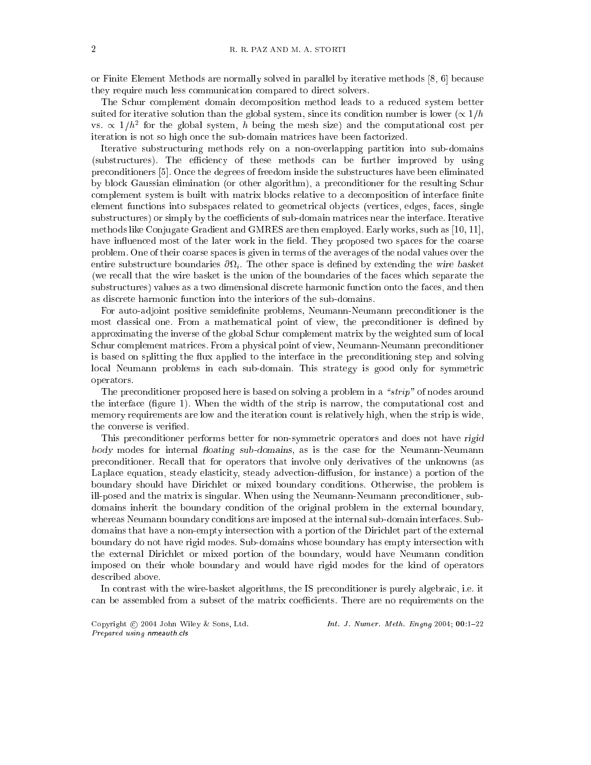or Finite Element Methods are normally solved in parallel by iterative methods  $[8, 6]$  because they require mu
h less ommuni
ation ompared to dire
t solvers.

The S
hur omplement domain de
omposition method leads to a redu
ed system better suited for iterative solution than the global system, since its condition number is lower  $(\propto 1/h)$ vs.  $\propto$  1/ $n$  for the global system,  $n$  being the mesh size) and the computational cost per iteration is not so high on
e the sub-domain matri
es have been fa
torized.

Iterative substru
turing methods rely on a non-overlapping partition into sub-domains (substructures). The efficiency of these methods can be further improved by using preconditioners [5]. Once the degrees of freedom inside the substructures have been eliminated by blo
k Gaussian elimination (or other algorithm), a pre
onditioner for the resulting S
hur complement system is built with matrix blocks relative to a decomposition of interface finite element functions into subspaces related to geometrical objects (vertices, edges, faces, single substructures) or simply by the coefficients of sub-domain matrices near the interface. Iterative methods like Conjugate Gradient and GMRES are then employed. Early works, such as [10, 11], have influenced most of the later work in the field. They proposed two spaces for the coarse problem. One of their oarse spa
es is given in terms of the averages of the nodal values over the entire boundaries in the other space is detailed by the window of the control of the wire wire the window (we re
all that the wire basket is the union of the boundaries of the fa
es whi
h separate the substructures) values as a two dimensional discrete harmonic function onto the faces, and then as discrete harmonic function into the interiors of the sub-domains.

For auto-adjoint positive semidefinite problems, Neumann-Neumann preconditioner is the most classical one. From a mathematical point of view, the preconditioner is defined by approximating the inverse of the global Schur complement matrix by the weighted sum of local Schur complement matrices. From a physical point of view, Neumann-Neumann preconditioner is based on splitting the flux applied to the interface in the preconditioning step and solving local Neumann problems in each sub-domain. This strategy is good only for symmetric operators.

The preconditioner proposed here is based on solving a problem in a "strip" of nodes around the interface (figure 1). When the width of the strip is narrow, the computational cost and memory requirements are low and the iteration count is relatively high, when the strip is wide, the converse is verified.

This pre
onditioner performs better for non-symmetri operators and does not have rigid body modes for internal oating sub-domains, as is the ase for the Neumann-Neumann pre
onditioner. Re
all that for operators that involve only derivatives of the unknowns (as Laplace equation, steady elasticity, steady advection-diffusion, for instance) a portion of the boundary should have Dirichlet or mixed boundary conditions. Otherwise, the problem is ill-posed and the matrix is singular. When using the Neumann-Neumann preconditioner, subdomains inherit the boundary ondition of the original problem in the external boundary, whereas Neumann boundary conditions are imposed at the internal sub-domain interfaces. Subdomains that have a non-empty intersection with a portion of the Dirichlet part of the external boundary do not have rigid modes. Sub-domains whose boundary has empty interse
tion with the external Dirichlet or mixed portion of the boundary, would have Neumann condition imposed on their whole boundary and would have rigid modes for the kind of operators des
ribed above.

In contrast with the wire-basket algorithms, the IS preconditioner is purely algebraic, i.e. it can be assembled from a subset of the matrix coefficients. There are no requirements on the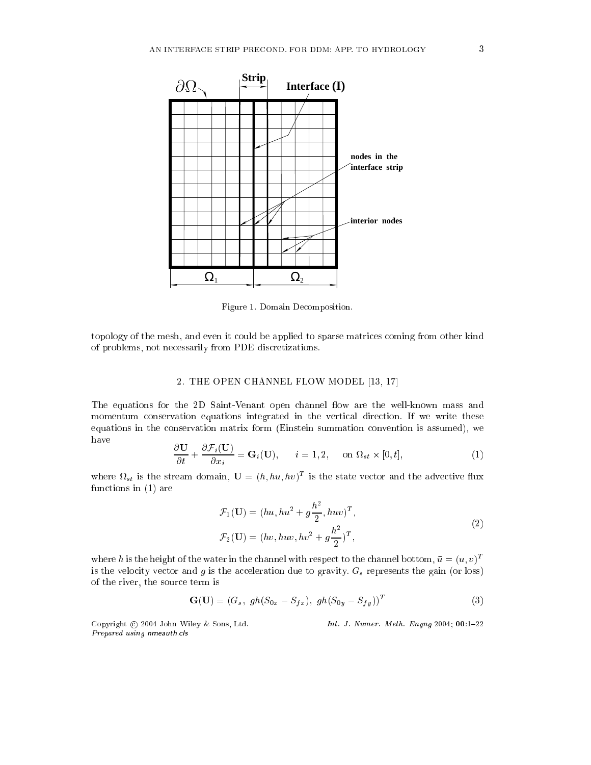

Figure 1. Domain Decomposition.

topology of the mesh, and even it could be applied to sparse matrices coming from other kind of problems, not necessarily from PDE discretizations.

## 2. THE OPEN CHANNEL FLOW MODEL [13, 17]

The equations for the 2D Saint-Venant open channel flow are the well-known mass and momentum conservation equations integrated in the vertical direction. If we write these equations in the conservation matrix form (Einstein summation convention is assumed), we have

$$
\frac{\partial \mathbf{U}}{\partial t} + \frac{\partial \mathcal{F}_i(\mathbf{U})}{\partial x_i} = \mathbf{G}_i(\mathbf{U}), \qquad i = 1, 2, \qquad \text{on } \Omega_{st} \times [0, t], \tag{1}
$$

where  $\Omega_{st}$  is the stream domain,  $\mathbf{U} = (h, hu, hv)^T$  is the state vector and the advective flux functions in  $(1)$  are

$$
\mathcal{F}_1(\mathbf{U}) = (hu, hu^2 + g\frac{h^2}{2}, huv)^T,
$$
  

$$
\mathcal{F}_2(\mathbf{U}) = (hv, huv, hv^2 + g\frac{h^2}{2})^T,
$$
 (2)

where h is the height of the water in the channel with respect to the channel bottom,  $\bar{u} = (u, v)^T$ is the velocity vector and g is the acceleration due to gravity.  $G_s$  represents the gain (or loss) of the river, the source term is

$$
\mathbf{G}(\mathbf{U}) = (G_s, gh(S_{0x} - S_{fx}), gh(S_{0y} - S_{fy}))^T
$$
\n(3)

Copyright © 2004 John Wiley & Sons, Ltd. Prepared using nmeauth.cls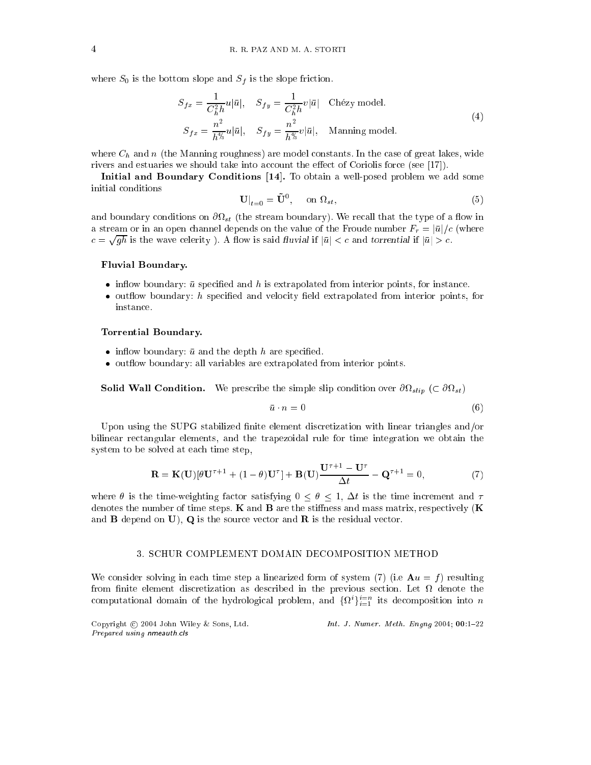where  $S_0$  is the bottom slope and  $S_f$  is the slope friction.

$$
S_{fx} = \frac{1}{C_h^2 h} u|\bar{u}|, \quad S_{fy} = \frac{1}{C_h^2 h} v|\bar{u}| \quad \text{Chézy model.}
$$
\n
$$
S_{fx} = \frac{n^2}{h^{\frac{q_2}{3}}} u|\bar{u}|, \quad S_{fy} = \frac{n^2}{h^{\frac{q_2}{3}}} v|\bar{u}|, \quad \text{Manning model.}
$$
\n
$$
(4)
$$

where  $C_h$  and n (the Manning roughness) are model constants. In the case of great lakes, wide rivers and estuaries we should take into account the effect of Coriolis force (see [17]).

Initial and Boundary Conditions [14]. To obtain a well-posed problem we add some initial onditions

$$
\mathbf{U}\big|_{t=0} = \tilde{\mathbf{U}}^0, \quad \text{on } \Omega_{st},\tag{5}
$$

and the stream on the stream boundary). We recovered the the stream boundary and the type of a stream boundary a stream or in an open channel depends on the value of the Froude number  $F_r = |\bar{u}|/c$  (where  $c = \sqrt{gh}$  is the wave celerity ). A flow is said fluvial if  $|\bar{u}| < c$  and torrential if  $|\bar{u}| > c$ .

## Fluvial Boundary.

- in and in a new strap in the strap is extrapolated from interior points of the strap is a point of the strap in
- out
ow boundary: h spe
ied and velo
ity eld extrapolated from interior points, for instan
e.

## Torrential Boundary.

- in die in die meerste gewone deur deur die gewone deur die begin die het die deur die de
- owners: all variables are extrapolated from interior points. In the second points of  $\mu$

**Solid Wall Condition.** We prescribe the simple slip condition over  $\partial\Omega_{slin}$  ( $\subset \partial\Omega_{st}$ )

$$
\bar{u} \cdot n = 0 \tag{6}
$$

Upon using the SUPG stabilized finite element discretization with linear triangles and/or bilinear re
tangular elements, and the trapezoidal rule for time integration we obtain the system to be solved at each time step,

$$
\mathbf{R} = \mathbf{K}(\mathbf{U})[\theta \mathbf{U}^{\tau+1} + (1 - \theta)\mathbf{U}^{\tau}] + \mathbf{B}(\mathbf{U})\frac{\mathbf{U}^{\tau+1} - \mathbf{U}^{\tau}}{\Delta t} - \mathbf{Q}^{\tau+1} = 0, \tag{7}
$$

where  $\theta$  is the time-weighting factor satisfying  $0 \le \theta \le 1$ ,  $\Delta t$  is the time increment and  $\tau$ denotes the number of time steps.  $K$  and  $B$  are the stiffness and mass matrix, respectively  $(K$ and  $\bf{B}$  depend on  $\bf{U}$ ),  $\bf{Q}$  is the source vector and  $\bf{R}$  is the residual vector.

## 3. SCHUR COMPLEMENT DOMAIN DECOMPOSITION METHOD

We consider solving in each time step a linearized form of system (7) (i.e  $\mathbf{A}u = f$ ) resulting from nite element dis
retization as des
ribed in the previous se
tion. Let denote the computational domain of the hydrological problem, and  $\{ \Omega^r \}_{i=1}^r$  its decomposition into  $n$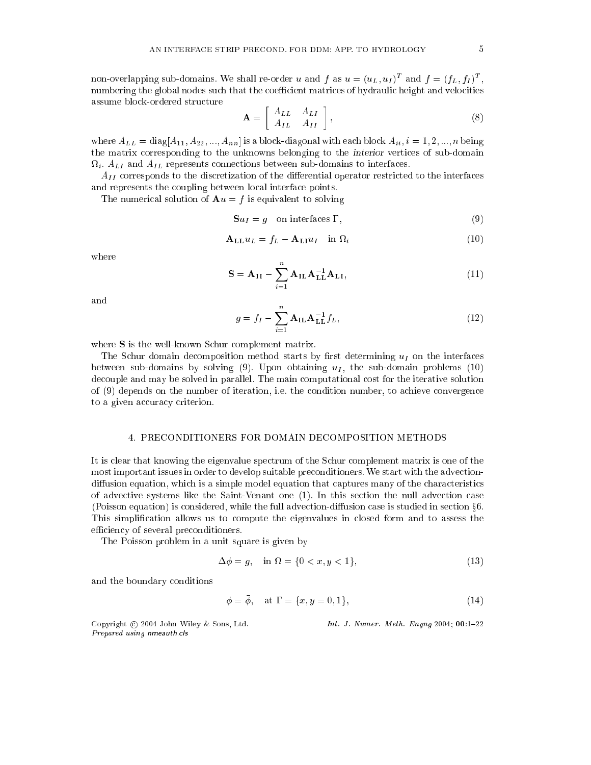non-overlapping sub-domains. We shall re-order u and f as  $u = (u_L, u_I)^T$  and  $f = (f_L, f_I)^T$ , numbering the global nodes such that the coefficient matrices of hydraulic height and velocities assume block-ordered structure

$$
\mathbf{A} = \left[ \begin{array}{cc} A_{LL} & A_{LI} \\ A_{IL} & A_{II} \end{array} \right],\tag{8}
$$

where  $A_{LL} = \text{diag}[A_{11}, A_{22},..., A_{nn}]$  is a block-diagonal with each block  $A_{ii}$ ,  $i = 1, 2, ..., n$  being the matrix corresponding to the unknowns belonging to the interior vertices of sub-domain  $\Omega_i$ .  $A_{LI}$  and  $A_{IL}$  represents connections between sub-domains to interfaces.

 $A_{II}$  corresponds to the discretization of the differential operator restricted to the interfaces and represents the coupling between local interface points.

The numerical solution of  $\mathbf{A} u = f$  is equivalent to solving

$$
\mathbf{S}u_I = g \quad \text{on interfaces } \Gamma,\tag{9}
$$

$$
\mathbf{A}_{\mathbf{L}\mathbf{L}}u_L = f_L - \mathbf{A}_{\mathbf{L}\mathbf{I}}u_I \quad \text{in } \Omega_i \tag{10}
$$

where

$$
\mathbf{S} = \mathbf{A}_{II} - \sum_{i=1}^{n} \mathbf{A}_{IL} \mathbf{A}_{LL}^{-1} \mathbf{A}_{LI},
$$
\n(11)

and

$$
g = f_I - \sum_{i=1}^{n} \mathbf{A}_{\mathbf{IL}} \mathbf{A}_{\mathbf{LL}}^{-1} f_L,
$$
\n(12)

where S is the well-known Schur complement matrix.

The Schur domain decomposition method starts by first determining  $u_I$  on the interfaces between sub-domains by solving  $(9)$ . Upon obtaining  $u<sub>I</sub>$ , the sub-domain problems  $(10)$ decouple and may be solved in parallel. The main computational cost for the iterative solution of (9) depends on the number of iteration, i.e. the condition number, to achieve convergence to a given accuracy criterion.

## 4. PRECONDITIONERS FOR DOMAIN DECOMPOSITION METHODS

It is clear that knowing the eigenvalue spectrum of the Schur complement matrix is one of the most important issues in order to develop suitable preconditioners. We start with the advectiondiffusion equation, which is a simple model equation that captures many of the characteristics of advective systems like the Saint-Venant one (1). In this section the null advection case (Poisson equation) is considered, while the full advection-diffusion case is studied in section  $\S6$ . This simplification allows us to compute the eigenvalues in closed form and to assess the efficiency of several preconditioners.

The Poisson problem in a unit square is given by

$$
\Delta \phi = g, \quad \text{in } \Omega = \{0 < x, y < 1\},\tag{13}
$$

and the boundary conditions

$$
\phi = \bar{\phi}, \quad \text{at } \Gamma = \{x, y = 0, 1\},\tag{14}
$$

Copyright (c) 2004 John Wiley & Sons, Ltd. Prepared using nmeauth.cls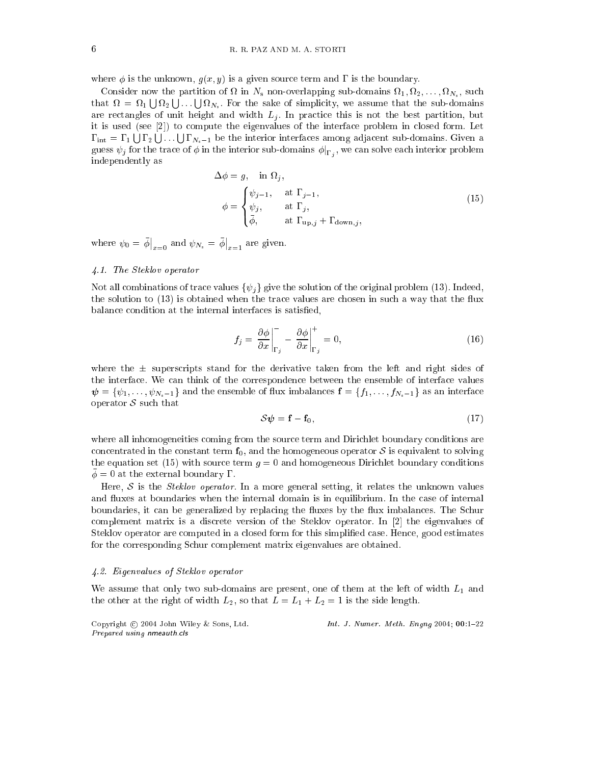where  $\phi$  is the unknown,  $g(x, y)$  is a given source term and  $\Gamma$  is the boundary.

 $\mathcal{L} = \mathcal{L} = \mathcal{L} = \mathcal{L} = \mathcal{L} = \mathcal{L} = \mathcal{L} = \mathcal{L} = \mathcal{L} = \mathcal{L} = \mathcal{L} = \mathcal{L} = \mathcal{L} = \mathcal{L} = \mathcal{L} = \mathcal{L} = \mathcal{L} = \mathcal{L} = \mathcal{L} = \mathcal{L} = \mathcal{L} = \mathcal{L} = \mathcal{L} = \mathcal{L} = \mathcal{L} = \mathcal{L} = \mathcal{L} = \mathcal{L} = \mathcal{L} = \mathcal{L} = \mathcal{L} = \mathcal$ that is a set of the set of the set of  $\mathbf{1}$  $\bigcup \Omega_2$  $\bigcup \ldots \bigcup \Omega_{N_s}$ . For the sake of simplicity, we assume that the sub-domains are rectangles of unit height and width  $L_j$ . In practice this is not the best partition, but it is used (see  $[2]$ ) to compute the eigenvalues of the interface problem in closed form. Let  $\Gamma_{\rm int} = \Gamma_1 \bigcup \Gamma_2 \bigcup \ldots \bigcup \Gamma_{N_{\rm s}-1}$  be the interior interfaces among adjacent sub-domains. Given a  $\circ$  and in the transient interior sub-domains just the interior  $\overline{r}$  if  $\overline{i}_j,$  we can selve the interior  $\overline{r}$  to define independently as

$$
\Delta \phi = g, \text{ in } \Omega_j,
$$
  
\n
$$
\phi = \begin{cases}\n\psi_{j-1}, & \text{at } \Gamma_{j-1}, \\
\psi_j, & \text{at } \Gamma_j, \\
\bar{\phi}, & \text{at } \Gamma_{\text{up},j} + \Gamma_{\text{down},j},\n\end{cases}
$$
\n(15)

where  $\psi_0 = \bar{\phi}\big|_{x=0}$  and  $\psi_{N_s} = \bar{\phi}\big|_{x=1}$  are given.

#### 4.1. The Steklov operator

Not all combinations of trace values  $\{\psi_j\}$  give the solution of the original problem (13). Indeed, the solution to (13) is obtained when the trace values are chosen in such a way that the flux balance condition at the internal interfaces is satisfied,

$$
f_j = \frac{\partial \phi}{\partial x}\Big|_{\Gamma_j}^{\Gamma} - \frac{\partial \phi}{\partial x}\Big|_{\Gamma_j}^{\Gamma} = 0,
$$
\n(16)

where the  $\pm$  superscripts stand for the derivative taken from the left and right sides of the interfa
e. We an think of the orresponden
e between the ensemble of interfa
e values  $\psi = \{\psi_1, \ldots, \psi_{N_s-1}\}\$ and the ensemble of flux imbalances  $\mathbf{f} = \{f_1, \ldots, f_{N_s-1}\}\$ as an interface operator  $S$  such that

$$
\mathcal{S}\psi = \mathbf{f} - \mathbf{f}_0,\tag{17}
$$

where all inhomogeneities coming from the source term and Dirichlet boundary conditions are concentrated in the constant term  $f_0$ , and the homogeneous operator S is equivalent to solving the equation set (15) with source term  $g = 0$  and homogeneous Dirichlet boundary conditions  $\phi = 0$  at the external boundary  $\Gamma$ .

Here,  $S$  is the *Steklov operator*. In a more general setting, it relates the unknown values and fluxes at boundaries when the internal domain is in equilibrium. In the case of internal boundaries, it can be generalized by replacing the fluxes by the flux imbalances. The Schur complement matrix is a discrete version of the Steklov operator. In  $[2]$  the eigenvalues of Steklov operator are computed in a closed form for this simplified case. Hence, good estimates for the orresponding S
hur omplement matrix eigenvalues are obtained.

#### 4.2. Eigenvalues of Steklov operator

We assume that only two sub-domains are present, one of them at the left of width  $L_1$  and the other at the right of width  $L_2$ , so that  $L = L_1 + L_2 = 1$  is the side length.

Prepared using nmeauth.
ls

Copyright  $\odot$  2004 John Wiley & Sons, Ltd. Int. J. Numer. Meth. Engng 2004; 00:1-22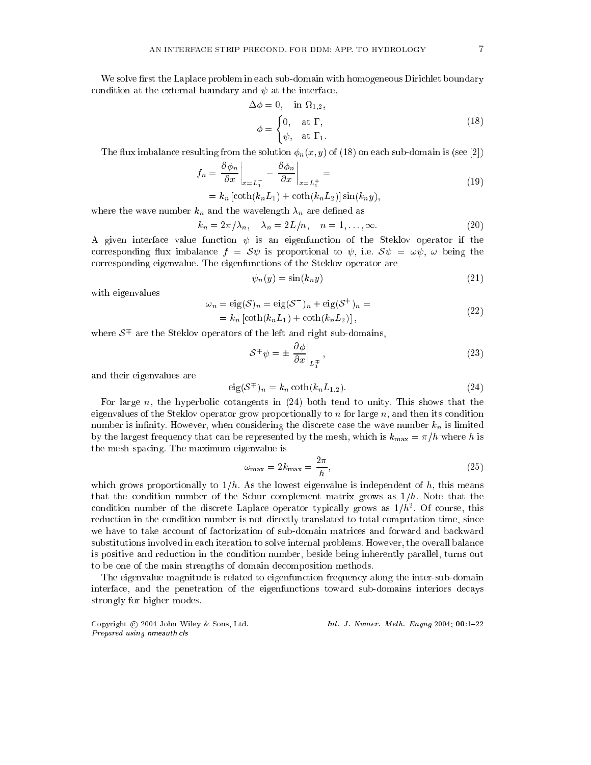We solve first the Laplace problem in each sub-domain with homogeneous Dirichlet boundary condition at the external boundary and  $\psi$  at the interface,

$$
\Delta \phi = 0, \text{ in } \Omega_{1,2},
$$
  
\n
$$
\phi = \begin{cases}\n0, & \text{at } \Gamma, \\
\psi, & \text{at } \Gamma_1.\n\end{cases}
$$
\n(18)

The flux imbalance resulting from the solution  $\phi_n(x, y)$  of (18) on each sub-domain is (see [2])

$$
f_n = \frac{\partial \phi_n}{\partial x}\bigg|_{x=L_1^-} - \frac{\partial \phi_n}{\partial x}\bigg|_{x=L_1^+} = \tag{19}
$$

$$
= k_n \left[ \coth(k_n L_1) + \coth(k_n L_2) \right] \sin(k_n y),
$$

where the wave number  $k_n$  and the wavelength  $\lambda_n$  are defined as

$$
k_n = 2\pi/\lambda_n, \quad \lambda_n = 2L/n, \quad n = 1, \dots, \infty.
$$
 (20)

A given interface value function  $\psi$  is an eigenfunction of the Steklov operator if the corresponding flux imbalance  $f = S\psi$  is proportional to  $\psi$ , i.e.  $S\psi = \omega\psi$ ,  $\omega$  being the orresponding eigenvalue. The eigenfun
tions of the Steklov operator are

$$
\psi_n(y) = \sin(k_n y) \tag{21}
$$

with eigenvalues

$$
\omega_n = \text{eig}(\mathcal{S})_n = \text{eig}(\mathcal{S}^-)_n + \text{eig}(\mathcal{S}^+)_n =
$$
  
=  $k_n \left[ \coth(k_n L_1) + \coth(k_n L_2) \right],$  (22)

where  $\mathcal{S}^+$  are the Steklov operators of the left and right sub-domains,

$$
S^{\mp}\psi = \pm \left. \frac{\partial \phi}{\partial x} \right|_{L^{\mp}_\tau},\tag{23}
$$

and their eigenvalues are

$$
eig(\mathcal{S}^{\mp})_n = k_n \coth(k_n L_{1,2}).
$$
\n(24)

For large n, the hyperbolic cotangents in  $(24)$  both tend to unity. This shows that the eigenvalues of the Steklov operator grow proportionally to  $n$  for large  $n$ , and then its condition number is infinity. However, when considering the discrete case the wave number  $k_n$  is limited by the largest frequency that can be represented by the mesh, which is  $k_{\text{max}} = \pi/h$  where h is the mesh spacing. The maximum eigenvalue is

$$
\omega_{\text{max}} = 2k_{\text{max}} = \frac{2\pi}{h},\tag{25}
$$

which grows proportionally to  $1/h$ . As the lowest eigenvalue is independent of h, this means that the condition number of the Schur complement matrix grows as  $1/h$ . Note that the condition number of the discrete Laplace operator typically grows as  $1/n^2$ . Of course, this reduction in the condition number is not directly translated to total computation time, since we have to take account of factorization of sub-domain matrices and forward and backward substitutions involved in each iteration to solve internal problems. However, the overall balance is positive and redu
tion in the ondition number, beside being inherently parallel, turns out to be one of the main strengths of domain de
omposition methods.

The eigenvalue magnitude is related to eigenfunction frequency along the inter-sub-domain interface, and the penetration of the eigenfunctions toward sub-domains interiors decays strongly for higher modes.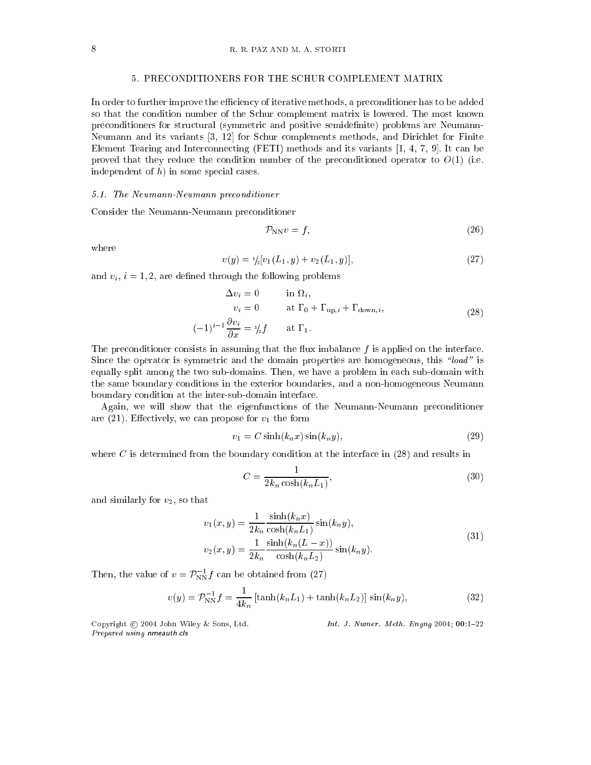## 5. PRECONDITIONERS FOR THE SCHUR COMPLEMENT MATRIX

In order to further improve the efficiency of iterative methods, a preconditioner has to be added so that the ondition number of the S
hur omplement matrix is lowered. The most known pre
onditioners for stru
tural (symmetri and positive semidenite) problems are Neumann-Neumann and its variants  $[3, 12]$  for Schur complements methods, and Dirichlet for Finite Element Tearing and Interconnecting (FETI) methods and its variants  $[1, 4, 7, 9]$ . It can be proved that they reduce the condition number of the preconditioned operator to  $O(1)$  (i.e. independent of  $h$ ) in some special cases.

#### 5.1. The Neumann-Neumann pre
onditioner

Consider the Neumann-Neumann pre
onditioner

$$
\mathcal{P}_{\rm NN} v = f,\tag{26}
$$

where

$$
v(y) = \frac{1}{2} [v_1(L_1, y) + v_2(L_1, y)], \qquad (27)
$$

and  $v_i$ ,  $i = 1, 2$ , are defined through the following problems

$$
\Delta v_i = 0 \qquad \text{in } \Omega_i,
$$
  
\n
$$
v_i = 0 \qquad \text{at } \Gamma_0 + \Gamma_{\text{up},i} + \Gamma_{\text{down},i},
$$
  
\n
$$
(-1)^{i-1} \frac{\partial v_i}{\partial x} = \frac{1}{2} f \qquad \text{at } \Gamma_1.
$$
\n(28)

The preconditioner consists in assuming that the flux imbalance  $f$  is applied on the interface. Since the operator is symmetric and the domain properties are homogeneous, this "load" is equally split among the two sub-domains. Then, we have a problem in each sub-domain with the same boundary onditions in the exterior boundaries, and a non-homogeneous Neumann boundary ondition at the inter-sub-domain interfa
e.

Again, we will show that the eigenfun
tions of the Neumann-Neumann pre
onditioner are  $(21)$ . Effectively, we can propose for  $v_1$  the form

$$
v_1 = C \sinh(k_n x) \sin(k_n y), \tag{29}
$$

where C is determined from the boundary condition at the interface in  $(28)$  and results in

$$
C = \frac{1}{2k_n \cosh(k_n L_1)},\tag{30}
$$

and similarly for  $v_2$ , so that

$$
v_1(x,y) = \frac{1}{2k_n} \frac{\sinh(k_n x)}{\cosh(k_n L_1)} \sin(k_n y),
$$
  
\n
$$
v_2(x,y) = \frac{1}{2k_n} \frac{\sinh(k_n (L-x))}{\cosh(k_n L_2)} \sin(k_n y).
$$
\n(31)

Then, the value of  $v = \rho_{NN} f$  can be obtained from (27)

$$
v(y) = \mathcal{P}_{\text{NN}}^{-1} f = \frac{1}{4k_n} \left[ \tanh(k_n L_1) + \tanh(k_n L_2) \right] \sin(k_n y), \tag{32}
$$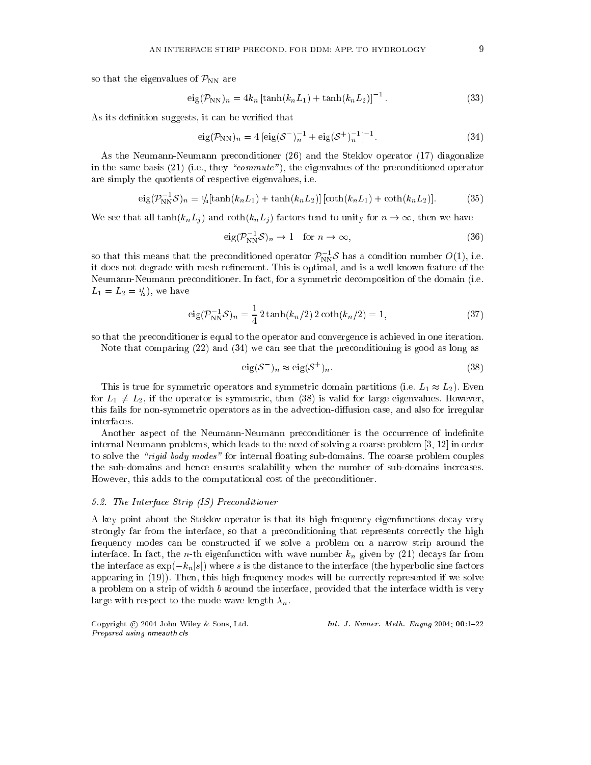so that the eigenvalues of  $P_{NN}$  are

$$
eig(\mathcal{P}_{NN})_n = 4k_n \left[ \tanh(k_n L_1) + \tanh(k_n L_2) \right]^{-1}.
$$
 (33)

As its definition suggests, it can be verified that

$$
eig(\mathcal{P}_{NN})_n = 4 \left[ eig(\mathcal{S}^-)_n^{-1} + eig(\mathcal{S}^+)_n^{-1} \right]^{-1}.
$$
 (34)

As the Neumann-Neumann pre
onditioner (26) and the Steklov operator (17) diagonalize in the same basis (21) (i.e., they "commute"), the eigenvalues of the preconditioned operator are simply the quotients of respe
tive eigenvalues, i.e.

$$
\text{eig}(\mathcal{P}_{\text{NN}}^{-1}\mathcal{S})_n = \psi_4[\tanh(k_n L_1) + \tanh(k_n L_2)] [\coth(k_n L_1) + \coth(k_n L_2)].\tag{35}
$$

We see that all  $\tanh(k_n L_j)$  and  $\coth(k_n L_j)$  factors tend to unity for  $n \to \infty$ , then we have

$$
\text{eig}(\mathcal{P}_{\text{NN}}^{-1}\mathcal{S})_n \to 1 \quad \text{for } n \to \infty,\tag{36}
$$

so that this means that the preconditioned operator  $\mathcal{P}_{\text{NN}}$ o has a condition number  $O(1),$  i.e. it does not degrade with mesh refinement. This is optimal, and is a well known feature of the Neumann-Neumann preconditioner. In fact, for a symmetric decomposition of the domain (i.e.  $L_1 = L_2 = \frac{1}{2}$ , we have

$$
eig(\mathcal{P}_{NN}^{-1}\mathcal{S})_n = \frac{1}{4} 2 \tanh(k_n/2) 2 \coth(k_n/2) = 1,
$$
\n(37)

so that the preconditioner is equal to the operator and convergence is achieved in one iteration.

Note that comparing (22) and (34) we can see that the preconditioning is good as long as

$$
\text{eig}(\mathcal{S}^-)_n \approx \text{eig}(\mathcal{S}^+)_n. \tag{38}
$$

This is true for symmetric operators and symmetric domain partitions (i.e.  $L_1 \approx L_2$ ). Even for  $L_1 \neq L_2$ , if the operator is symmetric, then (38) is valid for large eigenvalues. However, this fails for non-symmetric operators as in the advection-diffusion case, and also for irregular

Another aspect of the Neumann-Neumann preconditioner is the occurrence of indefinite internal Neumann problems, which leads to the need of solving a coarse problem  $[3, 12]$  in order to solve the "rigid body modes" for internal floating sub-domains. The coarse problem couples the sub-domains and hen
e ensures s
alability when the number of sub-domains in
reases. However, this adds to the computational cost of the preconditioner.

#### 5.2. The Interfa
e Strip (IS) Pre
onditioner

A key point about the Steklov operator is that its high frequency eigenfunctions decay very strongly far from the interface, so that a preconditioning that represents correctly the high frequency modes can be constructed if we solve a problem on a narrow strip around the interface. In fact, the *n*-th eigenfunction with wave number  $k_n$  given by (21) decays far from the interface as  $\exp(-k_n|s|)$  where s is the distance to the interface (the hyperbolic sine factors appearing in (19)). Then, this high frequency modes will be correctly represented if we solve a problem on a strip of width  $b$  around the interface, provided that the interface width is very large with respect to the mode wave length  $\lambda_n$ .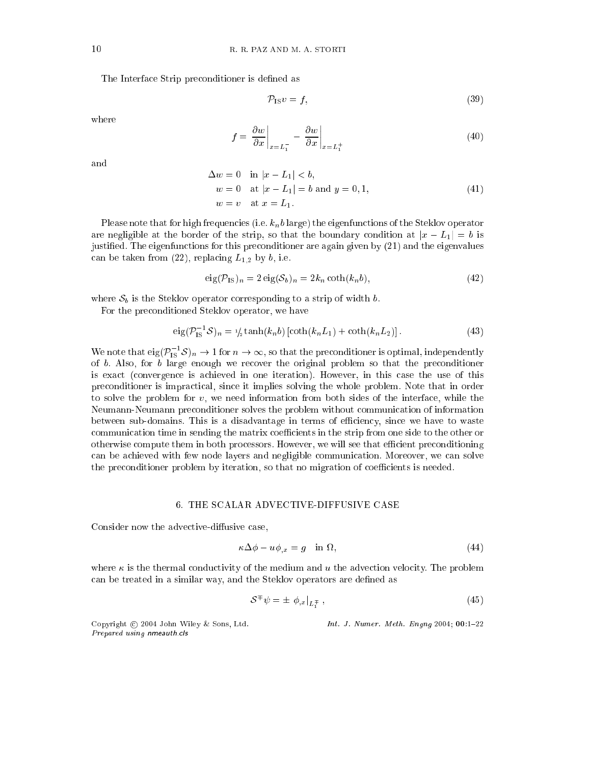The Interface Strip preconditioner is defined as

$$
\mathcal{P}_{\rm IS} v = f,\tag{39}
$$

where

$$
f = \left. \frac{\partial w}{\partial x} \right|_{x = L_1^-} - \left. \frac{\partial w}{\partial x} \right|_{x = L_1^+}
$$
\n
$$
\tag{40}
$$

and

$$
\Delta w = 0 \quad \text{in } |x - L_1| < b,
$$
\n
$$
w = 0 \quad \text{at } |x - L_1| = b \text{ and } y = 0, 1,
$$
\n
$$
w = v \quad \text{at } x = L_1.
$$
\n
$$
(41)
$$

Please note that for high frequencies (i.e.  $k_n b$  large) the eigenfunctions of the Steklov operator are negligible at the border of the strip, so that the boundary condition at  $|x - L_1| = b$  is justified. The eigenfunctions for this preconditioner are again given by  $(21)$  and the eigenvalues can be taken from (22), replacing  $L_{1,2}$  by b, i.e.

$$
\text{eig}(\mathcal{P}_{\text{IS}})_n = 2 \,\text{eig}(\mathcal{S}_b)_n = 2k_n \coth(k_n b),\tag{42}
$$

where  $S_b$  is the Steklov operator corresponding to a strip of width b.

For the pre
onditioned Steklov operator, we have

$$
\text{eig}(\mathcal{P}_{\text{IS}}^{-1}\mathcal{S})_n = \frac{1}{2}\tanh(k_n b)\left[\coth(k_n L_1) + \coth(k_n L_2)\right].\tag{43}
$$

We note that  $\text{eig}(P_{\text{IS}}\delta)_n \to 1$  for  $n \to \infty$ , so that the preconditioner is optimal, independently of b. Also, for b large enough we re
over the original problem so that the pre
onditioner is exa
t (
onvergen
e is a
hieved in one iteration). However, in this ase the use of this preconditioner is impractical, since it implies solving the whole problem. Note that in order to solve the problem for v, we need information from both sides of the interfa
e, while the Neumann-Neumann pre
onditioner solves the problem without ommuni
ation of information between sub-domains. This is a disadvantage in terms of efficiency, since we have to waste ommuni
ation time in sending the matrix oeÆ
ients in the strip from one side to the other or otherwise compute them in both processors. However, we will see that efficient preconditioning an be a
hieved with few node layers and negligible ommuni
ation. Moreover, we an solve the preconditioner problem by iteration, so that no migration of coefficients is needed.

### 6. THE SCALAR ADVECTIVE-DIFFUSIVE CASE

Consider now the advective-diffusive case,

$$
\kappa \Delta \phi - u \phi_{,x} = g \quad \text{in } \Omega,\tag{44}
$$

where  $\kappa$  is the thermal conductivity of the medium and u the advection velocity. The problem an be treated in a similar way, and the Steklov operators are dened as

$$
\mathcal{S}^{\mp}\psi = \pm \left. \phi_{,x} \right|_{L^{\mp}},\tag{45}
$$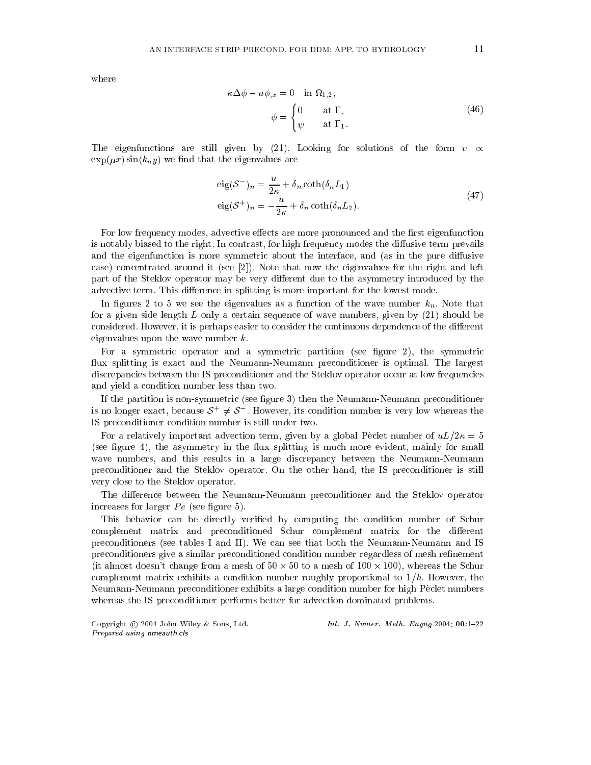where

$$
\kappa \Delta \phi - u\phi_{,x} = 0 \quad \text{in } \Omega_{1,2},
$$

$$
\phi = \begin{cases} 0 & \text{at } \Gamma, \\ \psi & \text{at } \Gamma_1. \end{cases}
$$
(46)

The eigenfunctions are still given by (21). Looking for solutions of the form  $v \propto$  $\exp(\mu x) \sin(k_n y)$  we find that the eigenvalues are

$$
eig(S^{-})_{n} = \frac{u}{2\kappa} + \delta_{n} \coth(\delta_{n}L_{1})
$$
  
\n
$$
eig(S^{+})_{n} = -\frac{u}{2\kappa} + \delta_{n} \coth(\delta_{n}L_{2}).
$$
\n(47)

For low frequency modes, advective effects are more pronounced and the first eigenfunction is notably biased to the right. In contrast, for high frequency modes the diffusive term prevails and the eigenfunction is more symmetric about the interface, and (as in the pure diffusive case) concentrated around it (see  $[2]$ ). Note that now the eigenvalues for the right and left part of the Steklov operator may be very different due to the asymmetry introduced by the advective term. This difference in splitting is more important for the lowest mode.

In figures 2 to 5 we see the eigenvalues as a function of the wave number  $k_n$ . Note that for a given side length  $L$  only a certain sequence of wave numbers, given by  $(21)$  should be considered. However, it is perhaps easier to consider the continuous dependence of the different eigenvalues upon the wave number  $k$ .

For a symmetric operator and a symmetric partition (see figure 2), the symmetric flux splitting is exact and the Neumann-Neumann preconditioner is optimal. The largest discrepancies between the IS preconditioner and the Steklov operator occur at low frequencies and yield a ondition number less than two.

If the partition is non-symmetric (see figure 3) then the Neumann-Neumann preconditioner is no longer exact, because  $\mathcal{S}+\neq\mathcal{S}$  . However, its condition number is very low whereas the IS pre
onditioner ondition number is still under two.

For a relatively important advection term, given by a global Peclet number of  $uL/2\kappa = 5$ (see figure 4), the asymmetry in the flux splitting is much more evident, mainly for small wave numbers, and this results in a large discrepancy between the Neumann-Neumann pre
onditioner and the Steklov operator. On the other hand, the IS pre
onditioner is still very lose to the Steklov operator.

The difference between the Neumann-Neumann preconditioner and the Steklov operator increases for larger  $Pe$  (see figure 5).

This behavior can be directly verified by computing the condition number of Schur complement matrix and preconditioned Schur complement matrix for the different pre
onditioners (see tables I and II). We an see that both the Neumann-Neumann and IS pre
onditioners give a similar pre
onditioned ondition number regardless of mesh renement (it almost doesn't change from a mesh of  $50 \times 50$  to a mesh of  $100 \times 100$ ), whereas the Schur complement matrix exhibits a condition number roughly proportional to  $1/h$ . However, the Neumann-Neumann preconditioner exhibits a large condition number for high Peclet numbers whereas the IS preconditioner performs better for advection dominated problems.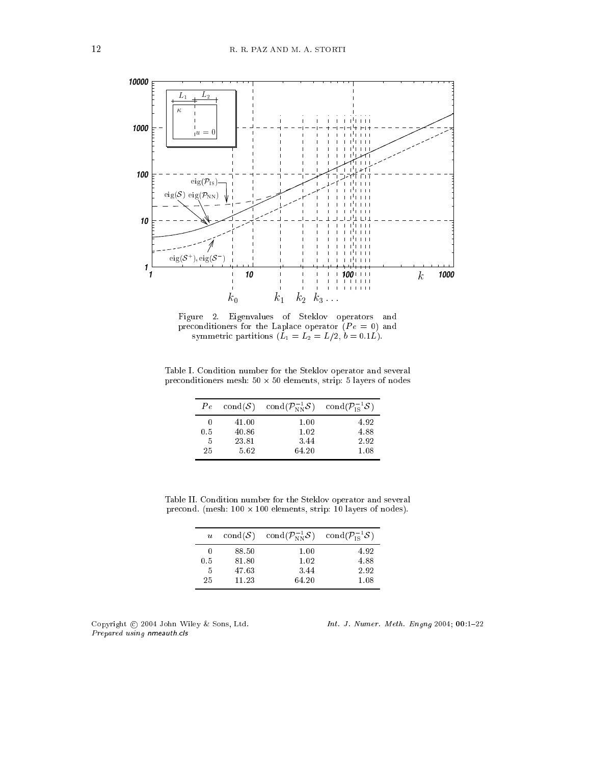

Figure 2. Eigenvalues of Steklov operators and preconditioners for the Laplace operator  $Pe = 0$  and symmetric partitions  $(L_1 = L_2 = L/2, b = 0.1L)$ .

Table I. Condition number for the Steklov operator and several press mesh: 50 - 50 - 50 elements, strip: 5 layers of mesh:

| Рe       | $\text{cond}(\mathcal{S})$ | $\mathrm{cond}(\mathcal{P}_{\mathrm{NN}}^{-1}\mathcal{S})$ | $\mathrm{cond}(\mathcal{P}_{\mathrm{IS}}^{-1}\mathcal{S})$ |
|----------|----------------------------|------------------------------------------------------------|------------------------------------------------------------|
| $\theta$ | 41.00                      | 1.00                                                       | 4.92                                                       |
| 0.5      | 40.86                      | 1.02                                                       | 4.88                                                       |
| 5        | 23.81                      | 3.44                                                       | 2.92                                                       |
| 25       | 5.62                       | 64.20                                                      | 1.08                                                       |

pre
ond. (mesh: 100 - 100 elements, strip: 10 layers of nodes). cond( $\mathcal{S}$ ) cond( $\mathcal{P}_{\text{min}}$  $_{\text{NN}}$  $\delta$ ) cond( $\mathcal{P}_{\text{IS}}$ )  $15 - 1$ 

Table II. Condition number for the Steklov operator and several

| $\boldsymbol{u}$ | $\text{cond}(\mathcal{S})$ | $\text{cond}(\mathcal{P}_{NN}^{-1}S)$ | cond $(\mathcal{P}_{\text{IS}}^{-1} \mathcal{S})$ |
|------------------|----------------------------|---------------------------------------|---------------------------------------------------|
| $\cup$           | 88.50                      | 1.00                                  | 4.92                                              |
| 0.5              | 81.80                      | 1.02                                  | 4.88                                              |
| 5                | 47.63                      | 3.44                                  | 2.92                                              |
| 25               | 11.23                      | 64.20                                 | 1.08                                              |

Copyright © 2004 John Wiley & Sons, Ltd. Int. J. Numer. Meth. Engng 2004; 00:1-22 Prepared using nmeauth.
ls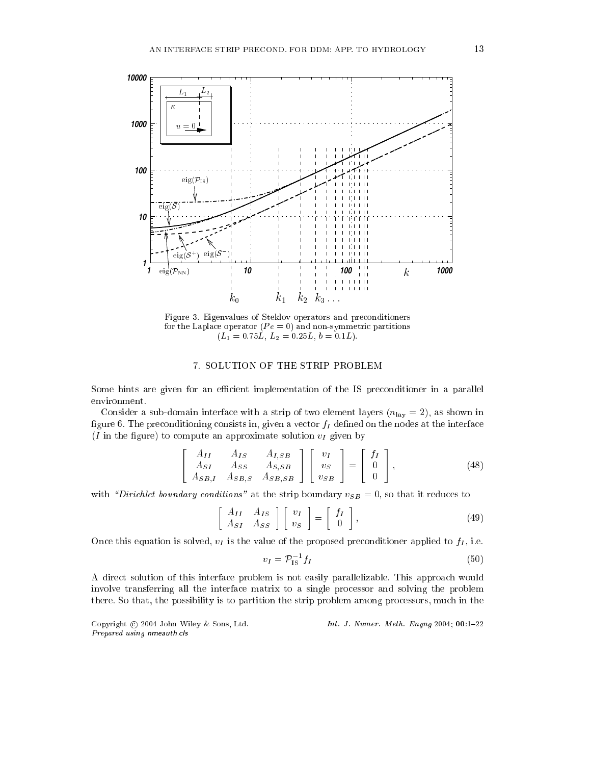

Figure 3. Eigenvalues of Steklov operators and preconditioners for the Laplace operator ( $Pe = 0$ ) and non-symmetric partitions  $(L_1 = 0.75L, L_2 = 0.25L, b = 0.1L).$ 

## 7. SOLUTION OF THE STRIP PROBLEM

Some hints are given for an efficient implementation of the IS preconditioner in a parallel environment.

Consider a sub-domain interface with a strip of two element layers  $(n_{\text{lay}} = 2)$ , as shown in figure 6. The preconditioning consists in, given a vector  $f_I$  defined on the nodes at the interface (*I* in the figure) to compute an approximate solution  $v_I$  given by

$$
\begin{bmatrix}\nA_{II} & A_{IS} & A_{I,SB} \\
A_{SI} & A_{SS} & A_{S,SB} \\
A_{SB,I} & A_{SB,S} & A_{SB,SB}\n\end{bmatrix}\n\begin{bmatrix}\nv_I \\
v_S \\
v_{SB}\n\end{bmatrix} =\n\begin{bmatrix}\nf_I \\
0 \\
0\n\end{bmatrix},
$$
\n(48)

with "Dirichlet boundary conditions" at the strip boundary  $v_{SB} = 0$ , so that it reduces to

$$
\left[\begin{array}{cc} A_{II} & A_{IS} \\ A_{SI} & A_{SS} \end{array}\right] \left[\begin{array}{c} v_I \\ v_S \end{array}\right] = \left[\begin{array}{c} f_I \\ 0 \end{array}\right],\tag{49}
$$

Once this equation is solved,  $v_I$  is the value of the proposed preconditioner applied to  $f_I$ , i.e.

$$
v_I = \mathcal{P}_{\text{IS}}^{-1} f_I \tag{50}
$$

A dire
t solution of this interfa
e problem is not easily parallelizable. This approa
h would involve transferring all the interfa
e matrix to a single pro
essor and solving the problem there. So that, the possibility is to partition the strip problem among processors, much in the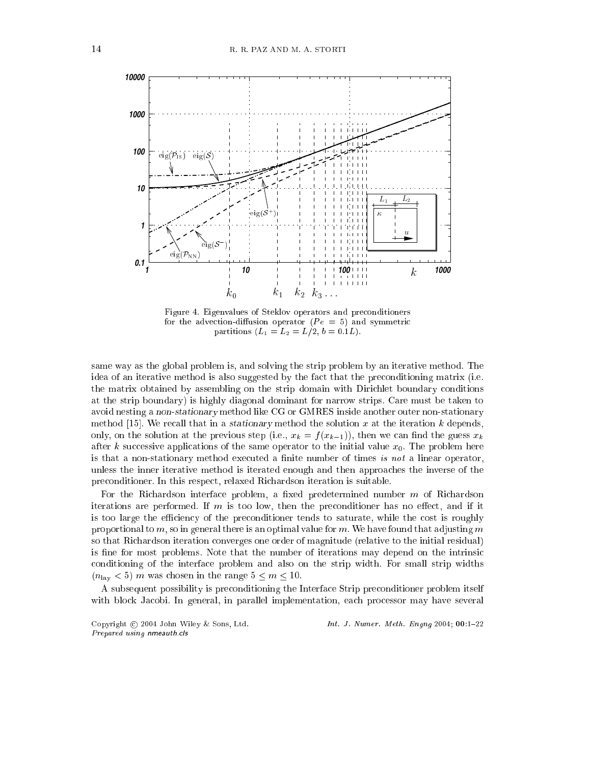

Figure 4. Eigenvalues of Steklov operators and preconditioners for the advection-diffusion operator ( $Pe = 5$ ) and symmetric partitions  $(L_1 = L_2 = L/2, b = 0.1L)$ .

same way as the global problem is, and solving the strip problem by an iterative method. The idea of an iterative method is also suggested by the fa
t that the pre
onditioning matrix (i.e. the matrix obtained by assembling on the strip domain with Dirichlet boundary conditions at the strip boundary) is highly diagonal dominant for narrow strips. Care must be taken to avoid nesting a non-stationary method like CG or GMRES inside another outer non-stationary method [15]. We recall that in a stationary method the solution x at the iteration k depends, only, on the solution at the previous step (i.e.,  $x_k = f(x_{k-1})$ ), then we can find the guess  $x_k$ after k successive applications of the same operator to the initial value  $x_0$ . The problem here is that a non-stationary method executed a finite number of times is not a linear operator, unless the inner iterative method is iterated enough and then approa
hes the inverse of the pre
onditioner. In this respe
t, relaxed Ri
hardson iteration is suitable.

For the Richardson interface problem, a fixed predetermined number  $m$  of Richardson iterations are performed. If  $m$  is too low, then the preconditioner has no effect, and if it is too large the efficiency of the preconditioner tends to saturate, while the cost is roughly proportional to m, so in general there is an optimal value for m. We have found that adjusting m so that Ri
hardson iteration onverges one order of magnitude (relative to the initial residual) is fine for most problems. Note that the number of iterations may depend on the intrinsic conditioning of the interface problem and also on the strip width. For small strip widths  $(n_{\text{lay}} < 5)$  m was chosen in the range  $5 \le m \le 10$ .

A subsequent possibility is pre
onditioning the Interfa
e Strip pre
onditioner problem itself with block Jacobi. In general, in parallel implementation, each processor may have several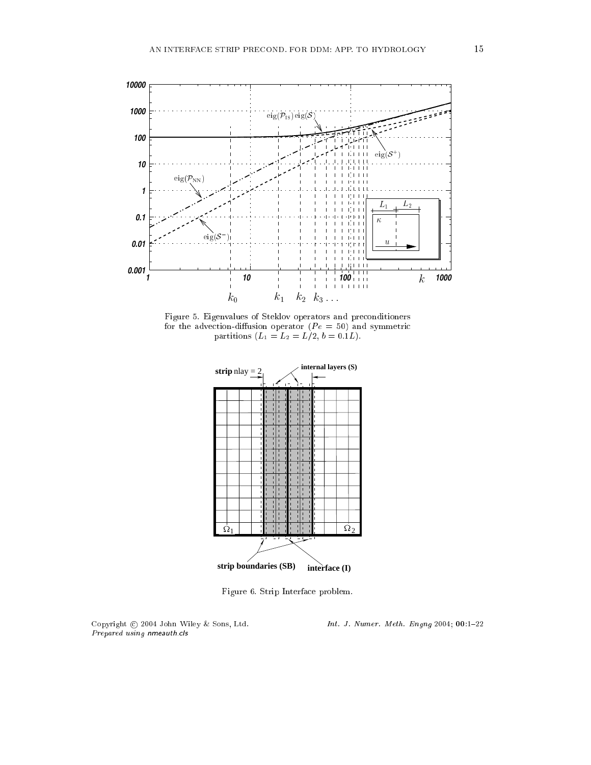





Figure 6. Strip Interfa
e problem.

Prepared using nmeauth.
ls

Copyright © 2004 John Wiley & Sons, Ltd. Int. J. Numer. Meth. Engng 2004; 00:1-22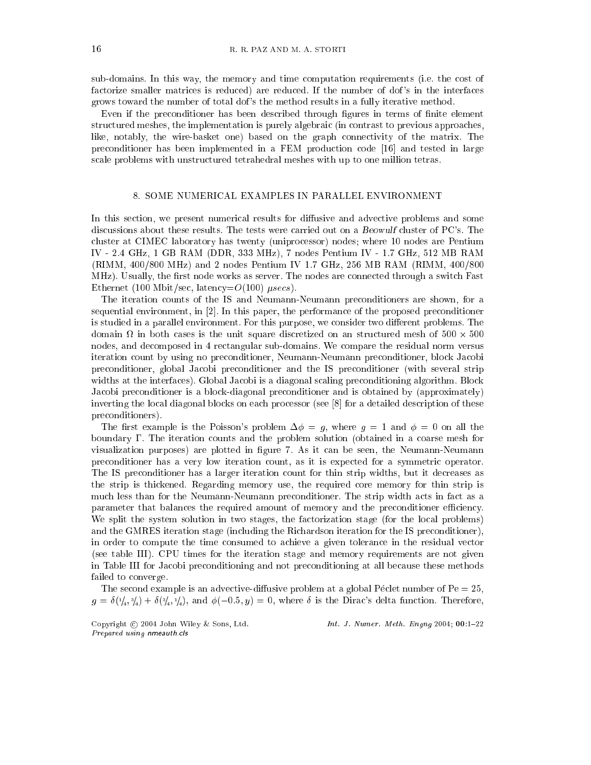sub-domains. In this way, the memory and time computation requirements (i.e. the cost of factorize smaller matrices is reduced) are reduced. If the number of dof's in the interfaces grows toward the number of total dof 's the method results in a fully iterative method.

Even if the preconditioner has been described through figures in terms of finite element structured meshes, the implementation is purely algebraic (in contrast to previous approaches, like, notably, the wire-basket one) based on the graph connectivity of the matrix. The preconditioner has been implemented in a FEM production code [16] and tested in large scale problems with unstructured tetrahedral meshes with up to one million tetras.

## 8. SOME NUMERICAL EXAMPLES IN PARALLEL ENVIRONMENT

In this section, we present numerical results for diffusive and advective problems and some discussions about these results. The tests were carried out on a *Beowulf* cluster of PC's. The cluster at CIMEC laboratory has twenty (uniprocessor) nodes; where 10 nodes are Pentium IV - 2.4 GHz, 1 GB RAM (DDR, 333 MHz), 7 nodes Pentium IV - 1.7 GHz, 512 MB RAM (RIMM, 400/800 MHz) and 2 nodes Pentium IV 1.7 GHz, 256 MB RAM (RIMM, 400/800 MHz). Usually, the first node works as server. The nodes are connected through a switch Fast Ethernet (100 Mbit/sec, latency= $O(100)$   $\mu$ secs).

The iteration ounts of the IS and Neumann-Neumann pre
onditioners are shown, for a sequential environment, in  $[2]$ . In this paper, the performance of the proposed preconditioner is studied in a parallel environment. For this purpose, we consider two different problems. The ases is the unit state on the unit state of the unit structure and the unit structure on an structure on a ver nodes, and de
omposed in 4 re
tangular sub-domains. We ompare the residual norm versus iteration ount by using no pre
onditioner, Neumann-Neumann pre
onditioner, blo
k Ja
obi pre
onditioner, global Ja
obi pre
onditioner and the IS pre
onditioner (with several strip widths at the interfaces). Global Jacobi is a diagonal scaling preconditioning algorithm. Block Ja
obi pre
onditioner is a blo
k-diagonal pre
onditioner and is obtained by (approximately) inverting the local diagonal blocks on each processor (see  $[8]$  for a detailed description of these pre
onditioners).

The first example is the Poisson's problem  $\Delta \phi = g$ , where  $g = 1$  and  $\phi = 0$  on all the boundary  $\Gamma$ . The iteration counts and the problem solution (obtained in a coarse mesh for visualization purposes) are plotted in figure 7. As it can be seen, the Neumann-Neumann pre
onditioner has a very low iteration ount, as it is expe
ted for a symmetri operator. The IS preconditioner has a larger iteration count for thin strip widths, but it decreases as the strip is thi
kened. Regarding memory use, the required ore memory for thin strip is much less than for the Neumann-Neumann preconditioner. The strip width acts in fact as a parameter that balances the required amount of memory and the preconditioner efficiency. We split the system solution in two stages, the factorization stage (for the local problems) and the GMRES iteration stage (including the Richardson iteration for the IS preconditioner), in order to ompute the time onsumed to a
hieve a given toleran
e in the residual ve
tor (see table III). CPU times for the iteration stage and memory requirements are not given in Table III for Ja
obi pre
onditioning and not pre
onditioning at all be
ause these methods failed to converge.

The second example is an advective-diffusive problem at a global Péclet number of  $Pe = 25$ ,  $g = \delta(\psi_4, \psi_4) + \delta(\psi_4, \psi_4)$ , and  $\phi(-0.5, y) = 0$ , where  $\delta$  is the Dirac's delta function. Therefore,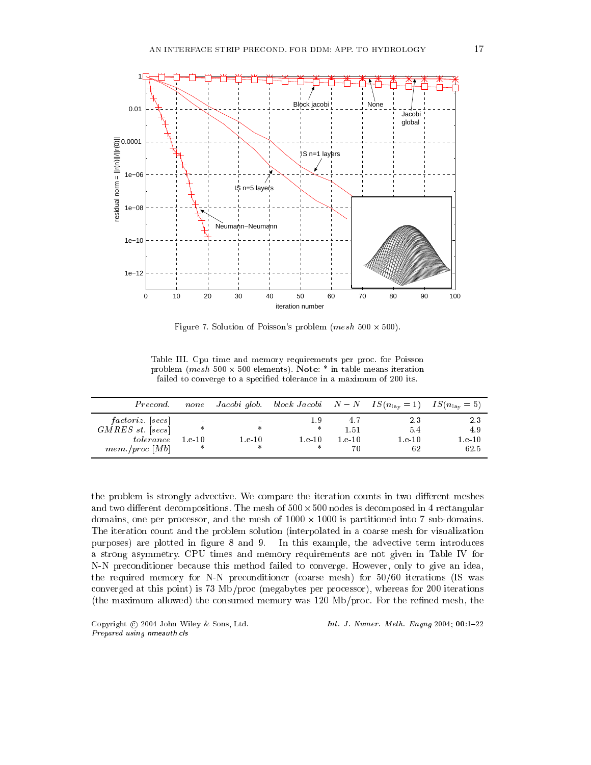

Figure 7. Solution of Poisson's problem (*mesh* 500  $\times$  500).

Table III. Cpu time and memory requirements per proc. for Poisson problem (*mesh* 500  $\times$  500 elements). Note: \* in table means iteration failed to converge to a specified tolerance in a maximum of 200 its.

| Precond.                                                               | none                          |                                     |                         |                              | <i>Jacobi glob.</i> block Jacobi $N - N$ IS( $n_{\text{lay}} = 1$ ) IS( $n_{\text{lay}} = 5$ ) |                            |
|------------------------------------------------------------------------|-------------------------------|-------------------------------------|-------------------------|------------------------------|------------------------------------------------------------------------------------------------|----------------------------|
| $factoriz$ [secs]<br>$GMRES$ st. [secs]<br>tolerance<br>mem./proc~[Mb] | $\blacksquare$<br>1.e 10<br>* | $\blacksquare$<br>*.<br>1.e 10<br>* | 1.9<br>*<br>1.e-10<br>* | -4.7<br>1.51<br>1.e 10<br>70 | 2.3<br>5.4<br>1.e-10<br>62                                                                     | 23<br>49<br>1.e-10<br>62.5 |

the problem is strongly advective. We compare the iteration counts in two different meshes and two different decompositions. The mesh of  $500 \times 500$  nodes is decomposed in 4 rectangular domains, one per processor, and the mesh of  $1000 \times 1000$  is partitioned into 7 sub-domains. The iteration count and the problem solution (interpolated in a coarse mesh for visualization purposes) are plotted in figure 8 and 9. In this example, the advective term introduces a strong asymmetry. CPU times and memory requirements are not given in Table IV for N-N preconditioner because this method failed to converge. However, only to give an idea, the required memory for N-N preconditioner (coarse mesh) for 50/60 iterations (IS was converged at this point) is 73 Mb/proc (megabytes per processor), whereas for 200 iterations (the maximum allowed) the consumed memory was 120 Mb/proc. For the refined mesh, the

Copyright (c) 2004 John Wiley & Sons, Ltd. Prepared using nmeauth.cls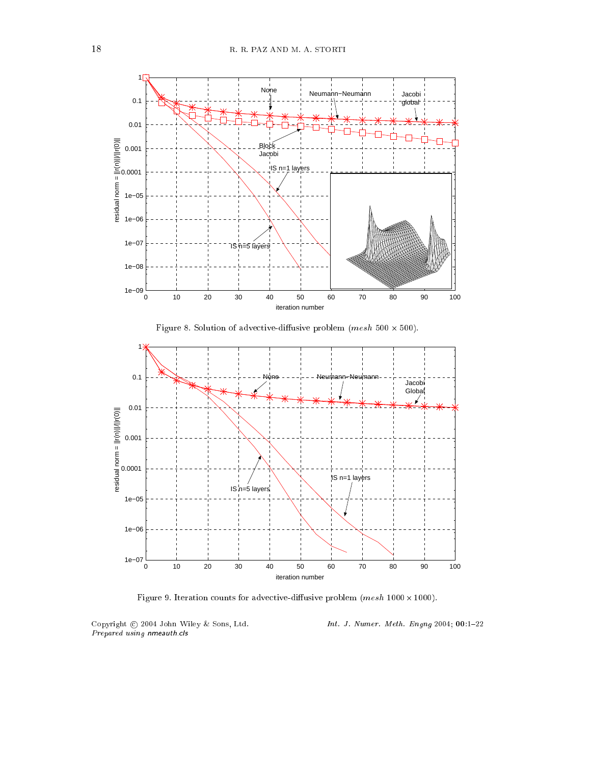

Figure 8. Solution of adve
tive-diusive problem (mesh 500 - 500).



Figure 9. Iteration ounts for adve
tive-diusive problem (mesh 1000 - 1000).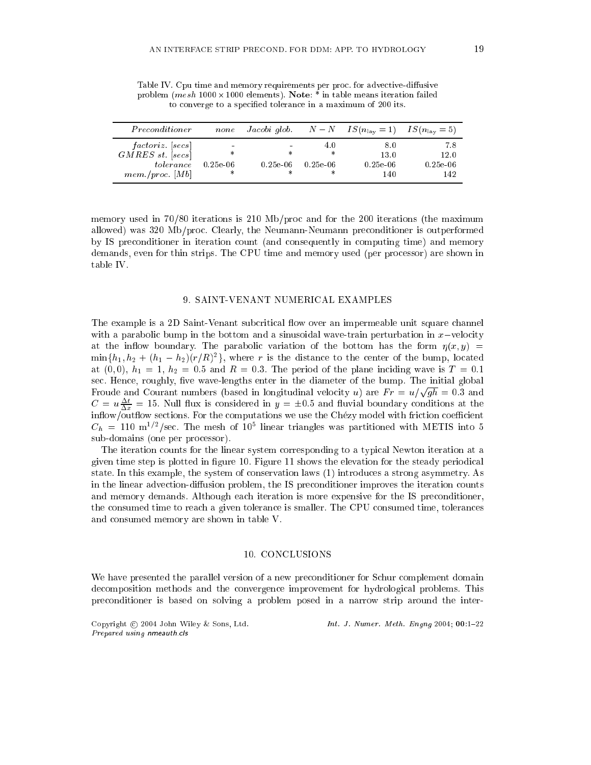| Preconditioner       | none           | Jacobi glob    |          | $N - N$ $IS(n_{\text{lay}} = 1)$ $IS(n_{\text{lay}} = 5)$ |            |
|----------------------|----------------|----------------|----------|-----------------------------------------------------------|------------|
| $factoriz$ [secs]    | $\blacksquare$ | $\blacksquare$ | 4.0      | -8.0                                                      | 7.8        |
| $GMRES$ st. $ secs $ | *              | *              | *        | 13.0                                                      | 12.0       |
| tolerance            | 0.25e-06       | $0.25$ e-06    | 0.25e 06 | $0.25e-06$                                                | $0.25e-06$ |
| mem./proc. [Mb]      | *              |                | *        | 140                                                       | 142        |

Table IV. Cpu time and memory requirements per proc. for advective-diffusive problem ( $mesh$  1000 x 1000 elements). Note: \* in table means iteration failed to converge to a specified tolerance in a maximum of 200 its.

memory used in 70/80 iterations is 210 Mb/proc and for the 200 iterations (the maximum allowed) was 320 Mb/proc. Clearly, the Neumann-Neumann preconditioner is outperformed by IS preconditioner in iteration count (and consequently in computing time) and memory demands, even for thin strips. The CPU time and memory used (per processor) are shown in table IV.

## 9. SAINT-VENANT NUMERICAL EXAMPLES

The example is a 2D Saint-Venant subcritical flow over an impermeable unit square channel with a parabolic bump in the bottom and a sinusoidal wave-train perturbation in  $x$ -velocity at the inflow boundary. The parabolic variation of the bottom has the form  $\eta(x, y)$  =  $\min\{h_1, h_2 + (h_1 - h_2)(r/R)^2\}$ , where r is the distance to the center of the bump, located at  $(0,0)$ ,  $h_1 = 1$ ,  $h_2 = 0.5$  and  $R = 0.3$ . The period of the plane inciding wave is  $T = 0.1$ sec. Hence, roughly, five wave-lengths enter in the diameter of the bump. The initial global Froude and Courant numbers (based in longitudinal velocity u) are  $Fr = u/\sqrt{gh} = 0.3$  and  $C = u \frac{\Delta t}{\Delta x} = 15$ . Null flux is considered in  $y = \pm 0.5$  and fluvial boundary conditions at the inflow/outflow sections. For the computations we use the Chézy model with friction coefficient  $C_h = 110 \text{ m}^{1/2}/\text{sec}$ . The mesh of 10<sup>5</sup> linear triangles was partitioned with METIS into 5 sub-domains (one per processor).

The iteration counts for the linear system corresponding to a typical Newton iteration at a given time step is plotted in figure 10. Figure 11 shows the elevation for the steady periodical state. In this example, the system of conservation laws (1) introduces a strong asymmetry. As in the linear advection-diffusion problem, the IS preconditioner improves the iteration counts and memory demands. Although each iteration is more expensive for the IS preconditioner, the consumed time to reach a given tolerance is smaller. The CPU consumed time, tolerances and consumed memory are shown in table V.

## 10. CONCLUSIONS

We have presented the parallel version of a new preconditioner for Schur complement domain decomposition methods and the convergence improvement for hydrological problems. This preconditioner is based on solving a problem posed in a narrow strip around the inter-

Copyright (c) 2004 John Wiley & Sons, Ltd. Prepared using nmeauth.cls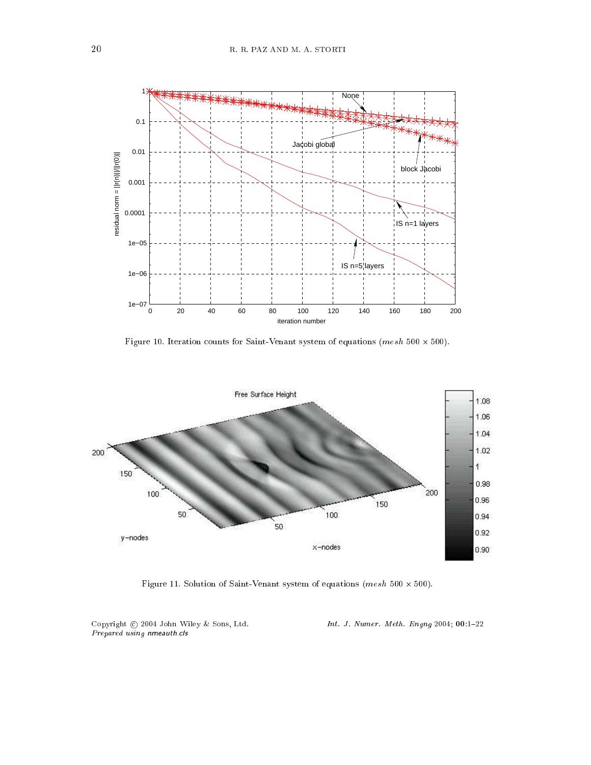

Figure 10. Iteration ounts for Saint-Venant system of equations (mesh 500 - 500).



Figure 11. Solution of Saint-Venant system of equations (mesh 500 - 500).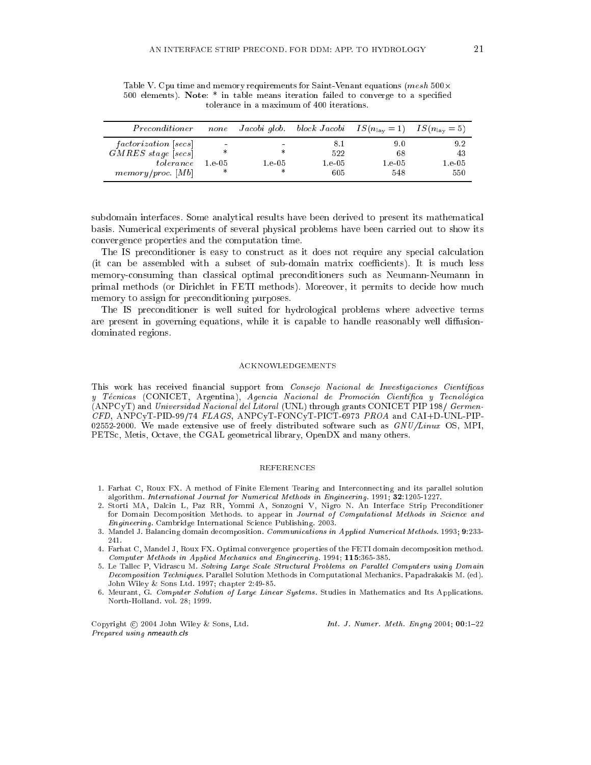| Preconditioner         | none           |        |        | Jacobi glob. block Jacobi $IS(n_{\text{lay}}=1)$ | $IS(n_{\text{lav}}=5)$ |
|------------------------|----------------|--------|--------|--------------------------------------------------|------------------------|
| factorization [secs]   | $\blacksquare$ | -      | 8.1    | 9.0                                              | 9.2                    |
| $GMRES\ stage\ [secs]$ | *              | *      | 522    | 68                                               | 43                     |
| <i>tolerance</i>       | 1 e 05         | 1 e 05 | 1.e 05 | 1.e-05                                           | 1.e 05                 |
| $memory/proc.$ [Mb]    | *              | *      | 605    | 548                                              | 550                    |

Table V. Cpu time and memory requirements for Saint-Venant equations (mesh 500  $\times$ 500 elements). Note: \* in table means iteration failed to converge to a specified tolerance in a maximum of 400 iterations.

subdomain interfaces. Some analytical results have been derived to present its mathematical basis. Numerical experiments of several physical problems have been carried out to show its convergence properties and the computation time.

The IS preconditioner is easy to construct as it does not require any special calculation (it can be assembled with a subset of sub-domain matrix coefficients). It is much less memory-consuming than classical optimal preconditioners such as Neumann-Neumann in primal methods (or Dirichlet in FETI methods). Moreover, it permits to decide how much memory to assign for preconditioning purposes.

The IS preconditioner is well suited for hydrological problems where advective terms are present in governing equations, while it is capable to handle reasonably well diffusiondominated regions.

#### **ACKNOWLEDGEMENTS**

This work has received financial support from Consejo Nacional de Investigaciones Científicas y Técnicas (CONICET, Argentina), Agencia Nacional de Promoción Científica y Tecnológica (ANPCyT) and Universidad Nacional del Litoral (UNL) through grants CONICET PIP 198/ Germen- $CFD$ , ANPCyT-PID-99/74  $FLAGS$ , ANPCyT-FONCyT-PICT-6973 PROA and CAI+D-UNL-PIP-02552-2000. We made extensive use of freely distributed software such as  $GNU/Linux$  OS, MPI, PETSc, Metis, Octave, the CGAL geometrical library, OpenDX and many others.

#### **REFERENCES**

- 1. Farhat C, Roux FX. A method of Finite Element Tearing and Interconnecting and its parallel solution algorithm. International Journal for Numerical Methods in Engineering. 1991; 32:1205-1227.
- 2. Storti MA, Dalcin L, Paz RR, Yommi A, Sonzogni V, Nigro N. An Interface Strip Preconditioner for Domain Decomposition Methods. to appear in Journal of Computational Methods in Science and *Engineering*. Cambridge International Science Publishing. 2003.
- 3. Mandel J. Balancing domain decomposition. Communications in Applied Numerical Methods. 1993; 9:233-241.
- 4. Farhat C, Mandel J, Roux FX. Optimal convergence properties of the FETI domain decomposition method. Computer Methods in Applied Mechanics and Engineering. 1994; 115:365-385.
- 5. Le Tallec P, Vidrascu M. Solving Large Scale Structural Problems on Parallel Computers using Domain Decomposition Techniques. Parallel Solution Methods in Computational Mechanics. Papadrakakis M. (ed). John Wiley & Sons Ltd. 1997; chapter 2:49-85.
- 6. Meurant, G. Computer Solution of Large Linear Systems. Studies in Mathematics and Its Applications. North-Holland. vol. 28; 1999.

Copyright © 2004 John Wiley & Sons, Ltd. Prepared using nmeauth.cls